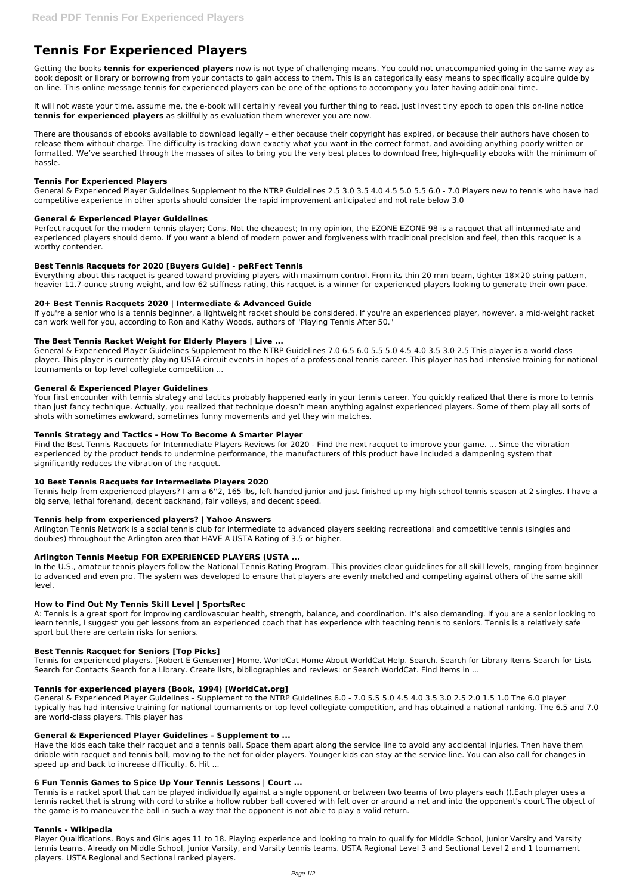# **Tennis For Experienced Players**

Getting the books **tennis for experienced players** now is not type of challenging means. You could not unaccompanied going in the same way as book deposit or library or borrowing from your contacts to gain access to them. This is an categorically easy means to specifically acquire guide by on-line. This online message tennis for experienced players can be one of the options to accompany you later having additional time.

It will not waste your time. assume me, the e-book will certainly reveal you further thing to read. Just invest tiny epoch to open this on-line notice **tennis for experienced players** as skillfully as evaluation them wherever you are now.

Perfect racquet for the modern tennis player; Cons. Not the cheapest; In my opinion, the EZONE EZONE 98 is a racquet that all intermediate and experienced players should demo. If you want a blend of modern power and forgiveness with traditional precision and feel, then this racquet is a worthy contender.

There are thousands of ebooks available to download legally – either because their copyright has expired, or because their authors have chosen to release them without charge. The difficulty is tracking down exactly what you want in the correct format, and avoiding anything poorly written or formatted. We've searched through the masses of sites to bring you the very best places to download free, high-quality ebooks with the minimum of hassle.

## **Tennis For Experienced Players**

General & Experienced Player Guidelines Supplement to the NTRP Guidelines 2.5 3.0 3.5 4.0 4.5 5.0 5.5 6.0 - 7.0 Players new to tennis who have had competitive experience in other sports should consider the rapid improvement anticipated and not rate below 3.0

# **General & Experienced Player Guidelines**

## **Best Tennis Racquets for 2020 [Buyers Guide] - peRFect Tennis**

Everything about this racquet is geared toward providing players with maximum control. From its thin 20 mm beam, tighter 18×20 string pattern, heavier 11.7-ounce strung weight, and low 62 stiffness rating, this racquet is a winner for experienced players looking to generate their own pace.

## **20+ Best Tennis Racquets 2020 | Intermediate & Advanced Guide**

If you're a senior who is a tennis beginner, a lightweight racket should be considered. If you're an experienced player, however, a mid-weight racket can work well for you, according to Ron and Kathy Woods, authors of "Playing Tennis After 50."

## **The Best Tennis Racket Weight for Elderly Players | Live ...**

General & Experienced Player Guidelines Supplement to the NTRP Guidelines 7.0 6.5 6.0 5.5 5.0 4.5 4.0 3.5 3.0 2.5 This player is a world class player. This player is currently playing USTA circuit events in hopes of a professional tennis career. This player has had intensive training for national tournaments or top level collegiate competition ...

## **General & Experienced Player Guidelines**

Your first encounter with tennis strategy and tactics probably happened early in your tennis career. You quickly realized that there is more to tennis than just fancy technique. Actually, you realized that technique doesn't mean anything against experienced players. Some of them play all sorts of shots with sometimes awkward, sometimes funny movements and yet they win matches.

## **Tennis Strategy and Tactics - How To Become A Smarter Player**

Find the Best Tennis Racquets for Intermediate Players Reviews for 2020 - Find the next racquet to improve your game. ... Since the vibration experienced by the product tends to undermine performance, the manufacturers of this product have included a dampening system that significantly reduces the vibration of the racquet.

## **10 Best Tennis Racquets for Intermediate Players 2020**

Tennis help from experienced players? I am a 6''2, 165 lbs, left handed junior and just finished up my high school tennis season at 2 singles. I have a big serve, lethal forehand, decent backhand, fair volleys, and decent speed.

## **Tennis help from experienced players? | Yahoo Answers**

Arlington Tennis Network is a social tennis club for intermediate to advanced players seeking recreational and competitive tennis (singles and doubles) throughout the Arlington area that HAVE A USTA Rating of 3.5 or higher.

# **Arlington Tennis Meetup FOR EXPERIENCED PLAYERS (USTA ...**

In the U.S., amateur tennis players follow the National Tennis Rating Program. This provides clear guidelines for all skill levels, ranging from beginner to advanced and even pro. The system was developed to ensure that players are evenly matched and competing against others of the same skill level.

## **How to Find Out My Tennis Skill Level | SportsRec**

A: Tennis is a great sport for improving cardiovascular health, strength, balance, and coordination. It's also demanding. If you are a senior looking to learn tennis, I suggest you get lessons from an experienced coach that has experience with teaching tennis to seniors. Tennis is a relatively safe sport but there are certain risks for seniors.

## **Best Tennis Racquet for Seniors [Top Picks]**

Tennis for experienced players. [Robert E Gensemer] Home. WorldCat Home About WorldCat Help. Search. Search for Library Items Search for Lists Search for Contacts Search for a Library. Create lists, bibliographies and reviews: or Search WorldCat. Find items in ...

## **Tennis for experienced players (Book, 1994) [WorldCat.org]**

General & Experienced Player Guidelines – Supplement to the NTRP Guidelines 6.0 - 7.0 5.5 5.0 4.5 4.0 3.5 3.0 2.5 2.0 1.5 1.0 The 6.0 player typically has had intensive training for national tournaments or top level collegiate competition, and has obtained a national ranking. The 6.5 and 7.0 are world-class players. This player has

#### **General & Experienced Player Guidelines – Supplement to ...**

Have the kids each take their racquet and a tennis ball. Space them apart along the service line to avoid any accidental injuries. Then have them dribble with racquet and tennis ball, moving to the net for older players. Younger kids can stay at the service line. You can also call for changes in speed up and back to increase difficulty. 6. Hit ...

#### **6 Fun Tennis Games to Spice Up Your Tennis Lessons | Court ...**

Tennis is a racket sport that can be played individually against a single opponent or between two teams of two players each ().Each player uses a tennis racket that is strung with cord to strike a hollow rubber ball covered with felt over or around a net and into the opponent's court.The object of the game is to maneuver the ball in such a way that the opponent is not able to play a valid return.

#### **Tennis - Wikipedia**

Player Qualifications. Boys and Girls ages 11 to 18. Playing experience and looking to train to qualify for Middle School, Junior Varsity and Varsity tennis teams. Already on Middle School, Junior Varsity, and Varsity tennis teams. USTA Regional Level 3 and Sectional Level 2 and 1 tournament players. USTA Regional and Sectional ranked players.